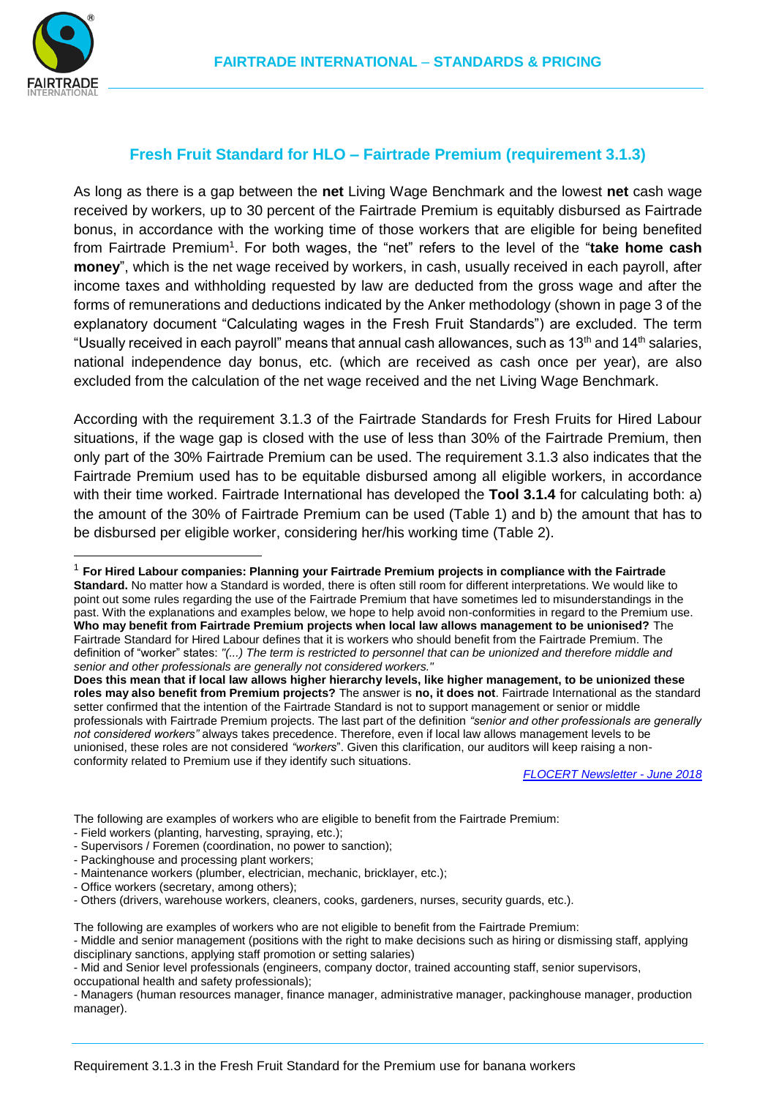

-

# **Fresh Fruit Standard for HLO – Fairtrade Premium (requirement 3.1.3)**

As long as there is a gap between the **net** Living Wage Benchmark and the lowest **net** cash wage received by workers, up to 30 percent of the Fairtrade Premium is equitably disbursed as Fairtrade bonus, in accordance with the working time of those workers that are eligible for being benefited from Fairtrade Premium<sup>1</sup>. For both wages, the "net" refers to the level of the "take home cash **money**", which is the net wage received by workers, in cash, usually received in each payroll, after income taxes and withholding requested by law are deducted from the gross wage and after the forms of remunerations and deductions indicated by the Anker methodology (shown in page 3 of the explanatory document "Calculating wages in the Fresh Fruit Standards") are excluded. The term "Usually received in each payroll" means that annual cash allowances, such as 13<sup>th</sup> and 14<sup>th</sup> salaries, national independence day bonus, etc. (which are received as cash once per year), are also excluded from the calculation of the net wage received and the net Living Wage Benchmark.

According with the requirement 3.1.3 of the Fairtrade Standards for Fresh Fruits for Hired Labour situations, if the wage gap is closed with the use of less than 30% of the Fairtrade Premium, then only part of the 30% Fairtrade Premium can be used. The requirement 3.1.3 also indicates that the Fairtrade Premium used has to be equitable disbursed among all eligible workers, in accordance with their time worked. Fairtrade International has developed the **Tool 3.1.4** for calculating both: a) the amount of the 30% of Fairtrade Premium can be used (Table 1) and b) the amount that has to be disbursed per eligible worker, considering her/his working time (Table 2).

The following are examples of workers who are eligible to benefit from the Fairtrade Premium:

- Field workers (planting, harvesting, spraying, etc.);
- Supervisors / Foremen (coordination, no power to sanction);
- Packinghouse and processing plant workers;
- Maintenance workers (plumber, electrician, mechanic, bricklayer, etc.);
- Office workers (secretary, among others);

The following are examples of workers who are not eligible to benefit from the Fairtrade Premium:

- Middle and senior management (positions with the right to make decisions such as hiring or dismissing staff, applying disciplinary sanctions, applying staff promotion or setting salaries)

- Mid and Senior level professionals (engineers, company doctor, trained accounting staff, senior supervisors, occupational health and safety professionals);

- Managers (human resources manager, finance manager, administrative manager, packinghouse manager, production manager).

<sup>1</sup> **For Hired Labour companies: Planning your Fairtrade Premium projects in compliance with the Fairtrade Standard.** No matter how a Standard is worded, there is often still room for different interpretations. We would like to point out some rules regarding the use of the Fairtrade Premium that have sometimes led to misunderstandings in the past. With the explanations and examples below, we hope to help avoid non-conformities in regard to the Premium use. **Who may benefit from Fairtrade Premium projects when local law allows management to be unionised?** The Fairtrade Standard for Hired Labour defines that it is workers who should benefit from the Fairtrade Premium. The definition of "worker" states: *"(...) The term is restricted to personnel that can be unionized and therefore middle and senior and other professionals are generally not considered workers."*

**Does this mean that if local law allows higher hierarchy levels, like higher management, to be unionized these roles may also benefit from Premium projects?** The answer is **no, it does not**. Fairtrade International as the standard setter confirmed that the intention of the Fairtrade Standard is not to support management or senior or middle professionals with Fairtrade Premium projects. The last part of the definition *"senior and other professionals are generally not considered workers"* always takes precedence. Therefore, even if local law allows management levels to be unionised, these roles are not considered *"workers*". Given this clarification, our auditors will keep raising a nonconformity related to Premium use if they identify such situations.

*[FLOCERT Newsletter -](http://comms.cmail20.com/t/ViewEmail/r/BC8FC83D64CD33942540EF23F30FEDED/072E5D1950BFBE104AB3169DA1FD82E9) June 2018*

<sup>-</sup> Others (drivers, warehouse workers, cleaners, cooks, gardeners, nurses, security guards, etc.).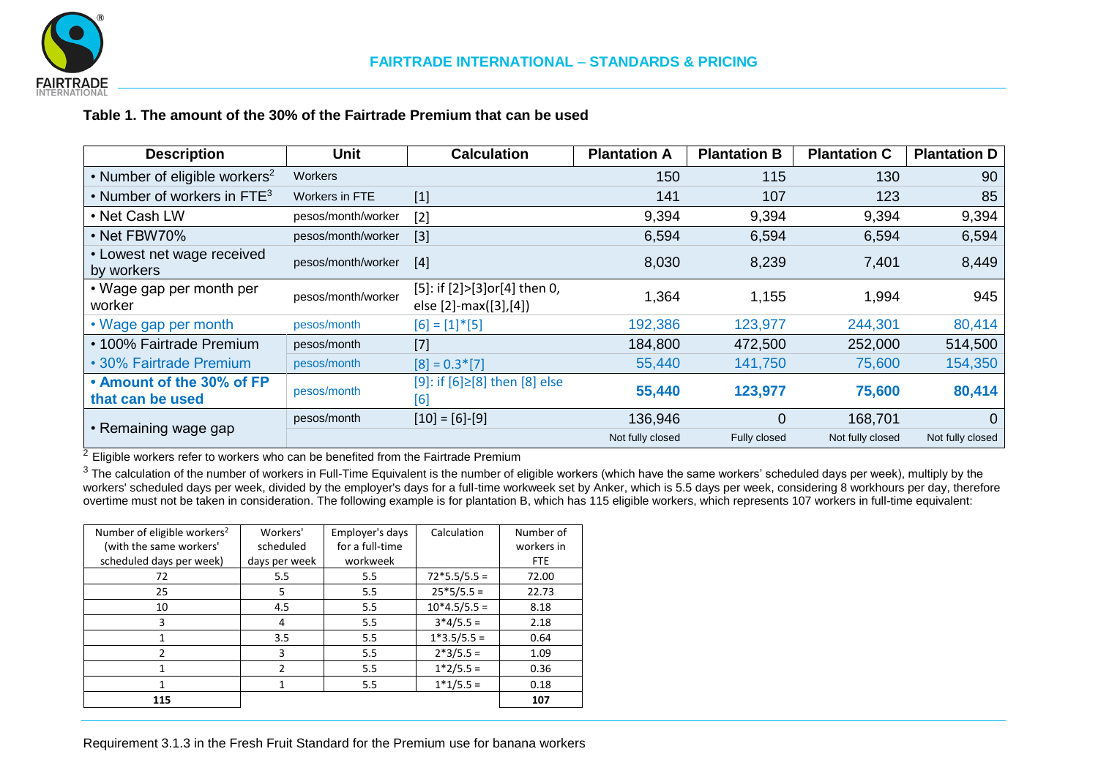

## **Table 1. The amount of the 30% of the Fairtrade Premium that can be used**

| <b>Description</b>                            | <b>Unit</b>        | <b>Calculation</b>                                    | <b>Plantation A</b> | <b>Plantation B</b> | <b>Plantation C</b> | <b>Plantation D</b> |
|-----------------------------------------------|--------------------|-------------------------------------------------------|---------------------|---------------------|---------------------|---------------------|
| • Number of eligible workers <sup>2</sup>     | <b>Workers</b>     |                                                       | 150                 | 115                 | 130                 | 90                  |
| • Number of workers in $FTE3$                 | Workers in FTE     | $[1]$                                                 | 141                 | 107                 | 123                 | 85                  |
| • Net Cash LW                                 | pesos/month/worker | $[2]$                                                 | 9,394               | 9,394               | 9,394               | 9,394               |
| • Net FBW70%                                  | pesos/month/worker | $[3]$                                                 | 6,594               | 6,594               | 6,594               | 6,594               |
| • Lowest net wage received<br>by workers      | pesos/month/worker | $[4]$                                                 | 8,030               | 8,239               | 7,401               | 8,449               |
| • Wage gap per month per<br>worker            | pesos/month/worker | [5]: if [2]>[3]or[4] then 0,<br>else [2]-max([3],[4]) | 1,364               | 1,155               | 1,994               | 945                 |
| • Wage gap per month                          | pesos/month        | $[6] = [1] * [5]$                                     | 192,386             | 123,977             | 244,301             | 80,414              |
| • 100% Fairtrade Premium                      | pesos/month        | $[7]$                                                 | 184,800             | 472,500             | 252,000             | 514,500             |
| • 30% Fairtrade Premium                       | pesos/month        | $[8] = 0.3$ <sup>*</sup> [7]                          | 55,440              | 141,750             | 75,600              | 154,350             |
| • Amount of the 30% of FP<br>that can be used | pesos/month        | [9]: if [6]≥[8] then [8] else<br>[6]                  | 55,440              | 123,977             | 75,600              | 80,414              |
| • Remaining wage gap                          | pesos/month        | $[10] = [6] - [9]$                                    | 136,946             | 0                   | 168,701             | $\Omega$            |
|                                               |                    |                                                       | Not fully closed    | Fully closed        | Not fully closed    | Not fully closed    |

 $\frac{2}{3}$  Eligible workers refer to workers who can be benefited from the Fairtrade Premium

<sup>3</sup> The calculation of the number of workers in Full-Time Equivalent is the number of eligible workers (which have the same workers' scheduled days per week), multiply by the workers' scheduled days per week, divided by the employer's days for a full-time workweek set by Anker, which is 5.5 days per week, considering 8 workhours per day, therefore overtime must not be taken in consideration. The following example is for plantation B, which has 115 eligible workers, which represents 107 workers in full-time equivalent:

| Number of eligible workers <sup>2</sup><br>(with the same workers'<br>scheduled days per week) | Workers'<br>scheduled<br>days per week | Employer's days<br>for a full-time<br>workweek | Calculation    | Number of<br>workers in<br><b>FTE</b> |
|------------------------------------------------------------------------------------------------|----------------------------------------|------------------------------------------------|----------------|---------------------------------------|
| 72                                                                                             | 5.5                                    | 5.5                                            | $72*5.5/5.5 =$ | 72.00                                 |
| 25                                                                                             | 5                                      | 5.5                                            | $25*5/5.5 =$   | 22.73                                 |
| 10                                                                                             | 4.5                                    | 5.5                                            | $10*4.5/5.5 =$ | 8.18                                  |
| 3                                                                                              | 4                                      | 5.5                                            | $3*4/5.5 =$    | 2.18                                  |
|                                                                                                | 3.5                                    | 5.5                                            | $1*3.5/5.5 =$  | 0.64                                  |
| $\mathcal{P}$                                                                                  | 3                                      | 5.5                                            | $2*3/5.5 =$    | 1.09                                  |
| 1                                                                                              | $\mathcal{P}$                          | 5.5                                            | $1*2/5.5 =$    | 0.36                                  |
| 1                                                                                              |                                        | 5.5                                            | $1*1/5.5 =$    | 0.18                                  |
| 115                                                                                            |                                        |                                                |                | 107                                   |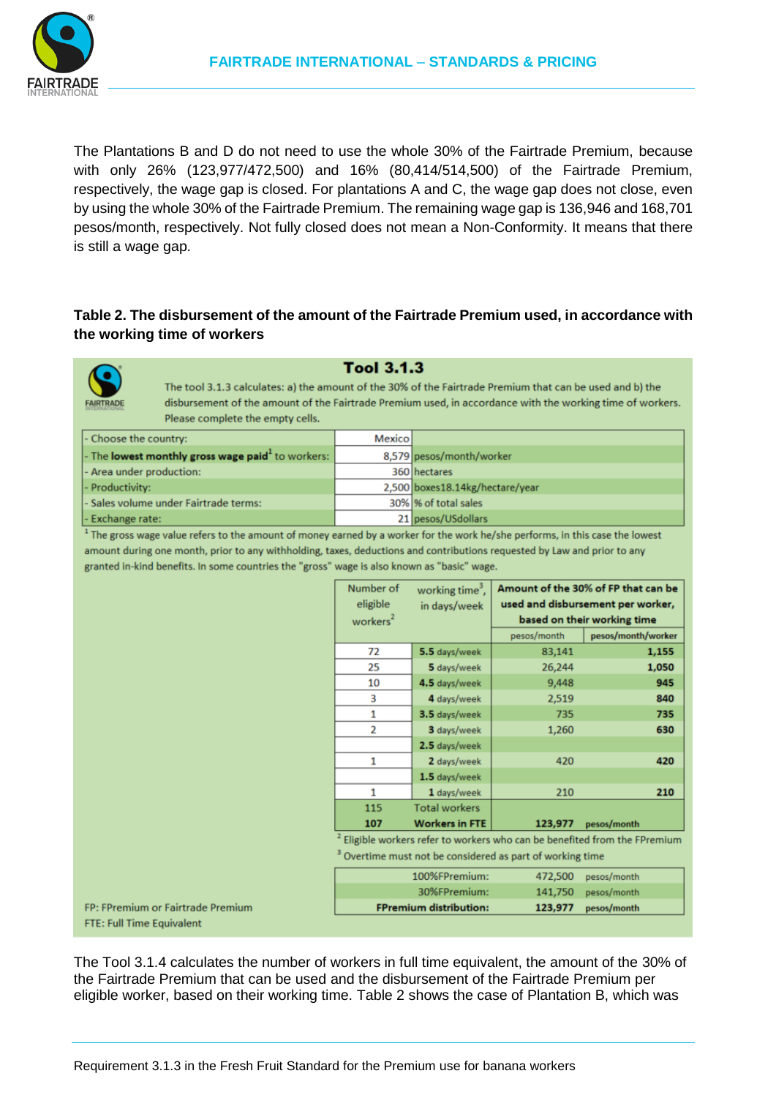

The Plantations B and D do not need to use the whole 30% of the Fairtrade Premium, because with only 26% (123,977/472,500) and 16% (80,414/514,500) of the Fairtrade Premium, respectively, the wage gap is closed. For plantations A and C, the wage gap does not close, even by using the whole 30% of the Fairtrade Premium. The remaining wage gap is 136,946 and 168,701 pesos/month, respectively. Not fully closed does not mean a Non-Conformity. It means that there is still a wage gap.

## **Table 2. The disbursement of the amount of the Fairtrade Premium used, in accordance with the working time of workers**



#### **Tool 3.1.3**

The tool 3.1.3 calculates: a) the amount of the 30% of the Fairtrade Premium that can be used and b) the disbursement of the amount of the Fairtrade Premium used, in accordance with the working time of workers. Please complete the empty cells.

| - Choose the country:                                                 | <b>Mexico</b> |                                 |
|-----------------------------------------------------------------------|---------------|---------------------------------|
| $\vert$ - The lowest monthly gross wage paid <sup>1</sup> to workers: |               | 8,579 pesos/month/worker        |
| - Area under production:                                              |               | 360 hectares                    |
| - Productivity:                                                       |               | 2,500 boxes18.14kg/hectare/year |
| - Sales volume under Fairtrade terms:                                 |               | 30% % of total sales            |
| - Exchange rate:                                                      |               | 21 pesos/USdollars              |

<sup>1</sup> The gross wage value refers to the amount of money earned by a worker for the work he/she performs, in this case the lowest amount during one month, prior to any withholding, taxes, deductions and contributions requested by Law and prior to any granted in-kind benefits. In some countries the "gross" wage is also known as "basic" wage.

| Number of<br>eligible<br>workers <sup>2</sup>                                         | working time <sup>3</sup> ,<br>in days/week | Amount of the 30% of FP that can be<br>used and disbursement per worker,<br>based on their working time |                    |
|---------------------------------------------------------------------------------------|---------------------------------------------|---------------------------------------------------------------------------------------------------------|--------------------|
|                                                                                       |                                             | pesos/month                                                                                             | pesos/month/worker |
| 72                                                                                    | 5.5 days/week                               | 83,141                                                                                                  | 1,155              |
| 25                                                                                    | 5 days/week                                 | 26,244                                                                                                  | 1,050              |
| 10                                                                                    | 4.5 days/week                               | 9,448                                                                                                   | 945                |
| 3                                                                                     | 4 days/week                                 | 2,519                                                                                                   | 840                |
| 1                                                                                     | 3.5 days/week                               | 735                                                                                                     | 735                |
| 2                                                                                     | 3 days/week                                 | 1,260                                                                                                   | 630                |
|                                                                                       | 2.5 days/week                               |                                                                                                         |                    |
| 1                                                                                     | 2 days/week                                 | 420                                                                                                     | 420                |
|                                                                                       | 1.5 days/week                               |                                                                                                         |                    |
| 1                                                                                     | 1 days/week                                 | 210                                                                                                     | 210                |
| 115                                                                                   | <b>Total workers</b>                        |                                                                                                         |                    |
| 107                                                                                   | <b>Workers in FTE</b>                       | 123,977                                                                                                 | pesos/month        |
| <sup>2</sup> Eligible workers refer to workers who can be benefited from the FPremium |                                             |                                                                                                         |                    |
| <sup>3</sup> Overtime must not be considered as part of working time                  |                                             |                                                                                                         |                    |
|                                                                                       |                                             | $\mathbf{A} \cap \mathbf{A}$                                                                            |                    |

| <b>FPremium distribution:</b><br>123,977 pesos/month |  |
|------------------------------------------------------|--|
| 30%FPremium:<br>141,750 pesos/month                  |  |
| 100%FPremium:<br>472,500 pesos/month                 |  |

FP: FPremium or Fairtrade Premium **FTE: Full Time Equivalent** 

The Tool 3.1.4 calculates the number of workers in full time equivalent, the amount of the 30% of the Fairtrade Premium that can be used and the disbursement of the Fairtrade Premium per eligible worker, based on their working time. Table 2 shows the case of Plantation B, which was